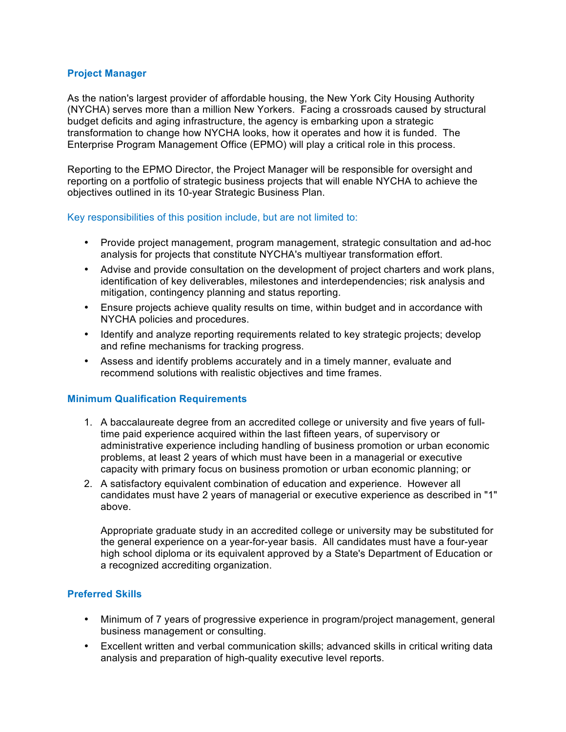#### **Project Manager**

As the nation's largest provider of affordable housing, the New York City Housing Authority (NYCHA) serves more than a million New Yorkers. Facing a crossroads caused by structural budget deficits and aging infrastructure, the agency is embarking upon a strategic transformation to change how NYCHA looks, how it operates and how it is funded. The Enterprise Program Management Office (EPMO) will play a critical role in this process.

Reporting to the EPMO Director, the Project Manager will be responsible for oversight and reporting on a portfolio of strategic business projects that will enable NYCHA to achieve the objectives outlined in its 10-year Strategic Business Plan.

#### Key responsibilities of this position include, but are not limited to:

- Provide project management, program management, strategic consultation and ad-hoc analysis for projects that constitute NYCHA's multiyear transformation effort.
- Advise and provide consultation on the development of project charters and work plans, identification of key deliverables, milestones and interdependencies; risk analysis and mitigation, contingency planning and status reporting.
- Ensure projects achieve quality results on time, within budget and in accordance with NYCHA policies and procedures.
- Identify and analyze reporting requirements related to key strategic projects; develop and refine mechanisms for tracking progress.
- Assess and identify problems accurately and in a timely manner, evaluate and recommend solutions with realistic objectives and time frames.

## **Minimum Qualification Requirements**

- 1. A baccalaureate degree from an accredited college or university and five years of fulltime paid experience acquired within the last fifteen years, of supervisory or administrative experience including handling of business promotion or urban economic problems, at least 2 years of which must have been in a managerial or executive capacity with primary focus on business promotion or urban economic planning; or
- 2. A satisfactory equivalent combination of education and experience. However all candidates must have 2 years of managerial or executive experience as described in "1" above.

Appropriate graduate study in an accredited college or university may be substituted for the general experience on a year-for-year basis. All candidates must have a four-year high school diploma or its equivalent approved by a State's Department of Education or a recognized accrediting organization.

## **Preferred Skills**

- Minimum of 7 years of progressive experience in program/project management, general business management or consulting.
- Excellent written and verbal communication skills; advanced skills in critical writing data analysis and preparation of high-quality executive level reports.